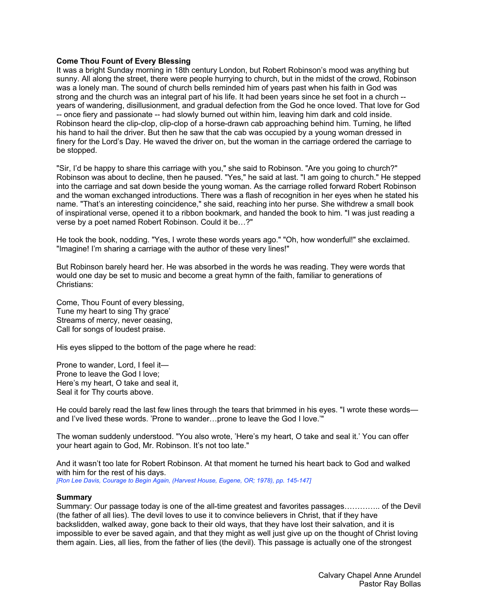### **Come Thou Fount of Every Blessing**

It was a bright Sunday morning in 18th century London, but Robert Robinson's mood was anything but sunny. All along the street, there were people hurrying to church, but in the midst of the crowd, Robinson was a lonely man. The sound of church bells reminded him of years past when his faith in God was strong and the church was an integral part of his life. It had been years since he set foot in a church - years of wandering, disillusionment, and gradual defection from the God he once loved. That love for God -- once fiery and passionate -- had slowly burned out within him, leaving him dark and cold inside. Robinson heard the clip-clop, clip-clop of a horse-drawn cab approaching behind him. Turning, he lifted his hand to hail the driver. But then he saw that the cab was occupied by a young woman dressed in finery for the Lord's Day. He waved the driver on, but the woman in the carriage ordered the carriage to be stopped.

"Sir, I'd be happy to share this carriage with you," she said to Robinson. "Are you going to church?" Robinson was about to decline, then he paused. "Yes," he said at last. "I am going to church." He stepped into the carriage and sat down beside the young woman. As the carriage rolled forward Robert Robinson and the woman exchanged introductions. There was a flash of recognition in her eyes when he stated his name. "That's an interesting coincidence," she said, reaching into her purse. She withdrew a small book of inspirational verse, opened it to a ribbon bookmark, and handed the book to him. "I was just reading a verse by a poet named Robert Robinson. Could it be…?"

He took the book, nodding. "Yes, I wrote these words years ago." "Oh, how wonderful!" she exclaimed. "Imagine! I'm sharing a carriage with the author of these very lines!"

But Robinson barely heard her. He was absorbed in the words he was reading. They were words that would one day be set to music and become a great hymn of the faith, familiar to generations of Christians:

Come, Thou Fount of every blessing, Tune my heart to sing Thy grace' Streams of mercy, never ceasing, Call for songs of loudest praise.

His eyes slipped to the bottom of the page where he read:

Prone to wander, Lord, I feel it— Prone to leave the God I love; Here's my heart, O take and seal it, Seal it for Thy courts above.

He could barely read the last few lines through the tears that brimmed in his eyes. "I wrote these words and I've lived these words. 'Prone to wander…prone to leave the God I love.'"

The woman suddenly understood. "You also wrote, 'Here's my heart, O take and seal it.' You can offer your heart again to God, Mr. Robinson. It's not too late."

And it wasn't too late for Robert Robinson. At that moment he turned his heart back to God and walked with him for the rest of his days.

*[Ron Lee Davis, Courage to Begin Again, (Harvest House, Eugene, OR; 1978), pp. 145-147]*

#### **Summary**

Summary: Our passage today is one of the all-time greatest and favorites passages………….. of the Devil (the father of all lies). The devil loves to use it to convince believers in Christ, that if they have backslidden, walked away, gone back to their old ways, that they have lost their salvation, and it is impossible to ever be saved again, and that they might as well just give up on the thought of Christ loving them again. Lies, all lies, from the father of lies (the devil). This passage is actually one of the strongest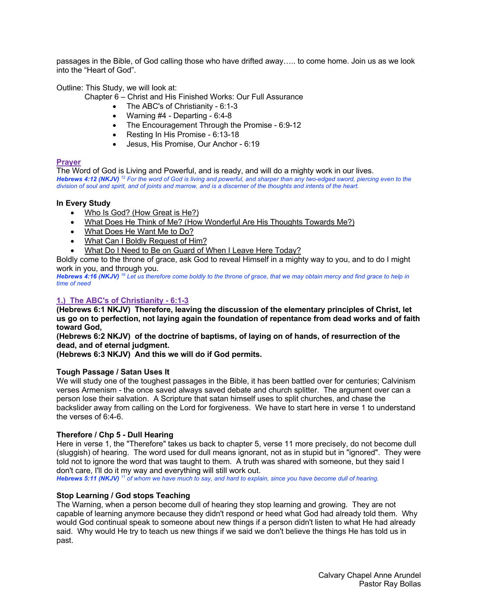passages in the Bible, of God calling those who have drifted away….. to come home. Join us as we look into the "Heart of God".

Outline: This Study, we will look at:

- Chapter 6 Christ and His Finished Works: Our Full Assurance
	- The ABC's of Christianity 6:1-3
	- Warning #4 Departing 6:4-8
	- The Encouragement Through the Promise 6:9-12
	- Resting In His Promise 6:13-18
	- Jesus, His Promise, Our Anchor 6:19

### **Prayer**

The Word of God is Living and Powerful, and is ready, and will do a mighty work in our lives. *Hebrews 4:12 (NKJV) <sup>12</sup> For the word of God is living and powerful, and sharper than any two-edged sword, piercing even to the division of soul and spirit, and of joints and marrow, and is a discerner of the thoughts and intents of the heart.* 

### **In Every Study**

- Who Is God? (How Great is He?)
- What Does He Think of Me? (How Wonderful Are His Thoughts Towards Me?)
- What Does He Want Me to Do?
- What Can I Boldly Request of Him?
- What Do I Need to Be on Guard of When I Leave Here Today?

Boldly come to the throne of grace, ask God to reveal Himself in a mighty way to you, and to do I might work in you, and through you.

*Hebrews 4:16 (NKJV) <sup>16</sup> Let us therefore come boldly to the throne of grace, that we may obtain mercy and find grace to help in time of need*

# **1.) The ABC's of Christianity - 6:1-3**

**(Hebrews 6:1 NKJV) Therefore, leaving the discussion of the elementary principles of Christ, let us go on to perfection, not laying again the foundation of repentance from dead works and of faith toward God,**

**(Hebrews 6:2 NKJV) of the doctrine of baptisms, of laying on of hands, of resurrection of the dead, and of eternal judgment.**

**(Hebrews 6:3 NKJV) And this we will do if God permits.**

### **Tough Passage / Satan Uses It**

We will study one of the toughest passages in the Bible, it has been battled over for centuries; Calvinism verses Armenism - the once saved always saved debate and church splitter. The argument over can a person lose their salvation. A Scripture that satan himself uses to split churches, and chase the backslider away from calling on the Lord for forgiveness. We have to start here in verse 1 to understand the verses of 6:4-6.

### **Therefore / Chp 5 - Dull Hearing**

Here in verse 1, the "Therefore" takes us back to chapter 5, verse 11 more precisely, do not become dull (sluggish) of hearing. The word used for dull means ignorant, not as in stupid but in "ignored". They were told not to ignore the word that was taught to them. A truth was shared with someone, but they said I don't care, I'll do it my way and everything will still work out.

*Hebrews 5:11 (NKJV) <sup>11</sup> of whom we have much to say, and hard to explain, since you have become dull of hearing.* 

# **Stop Learning / God stops Teaching**

The Warning, when a person become dull of hearing they stop learning and growing. They are not capable of learning anymore because they didn't respond or heed what God had already told them. Why would God continual speak to someone about new things if a person didn't listen to what He had already said. Why would He try to teach us new things if we said we don't believe the things He has told us in past.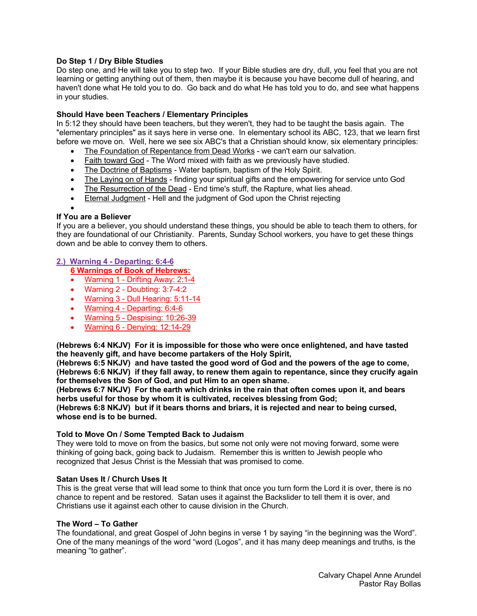# **Do Step 1 / Dry Bible Studies**

Do step one, and He will take you to step two. If your Bible studies are dry, dull, you feel that you are not learning or getting anything out of them, then maybe it is because you have become dull of hearing, and haven't done what He told you to do. Go back and do what He has told you to do, and see what happens in your studies.

### **Should Have been Teachers / Elementary Principles**

In 5:12 they should have been teachers, but they weren't, they had to be taught the basis again. The "elementary principles" as it says here in verse one. In elementary school its ABC, 123, that we learn first before we move on. Well, here we see six ABC's that a Christian should know, six elementary principles:

- The Foundation of Repentance from Dead Works we can't earn our salvation.
- Faith toward God The Word mixed with faith as we previously have studied.
- The Doctrine of Baptisms Water baptism, baptism of the Holy Spirit.
- The Laying on of Hands finding your spiritual gifts and the empowering for service unto God
- The Resurrection of the Dead End time's stuff, the Rapture, what lies ahead.
- Eternal Judgment Hell and the judgment of God upon the Christ rejecting

# •

# **If You are a Believer**

If you are a believer, you should understand these things, you should be able to teach them to others, for they are foundational of our Christianity. Parents, Sunday School workers, you have to get these things down and be able to convey them to others.

# **2.) Warning 4 - Departing: 6:4-6**

**6 Warnings of Book of Hebrews:**

- Warning 1 Drifting Away: 2:1-4
- Warning 2 Doubting: 3:7-4:2
- Warning 3 Dull Hearing: 5:11-14
- Warning 4 Departing: 6:4-6
- Warning 5 Despising: 10:26-39
- Warning 6 Denying: 12:14-29

**(Hebrews 6:4 NKJV) For it is impossible for those who were once enlightened, and have tasted the heavenly gift, and have become partakers of the Holy Spirit,**

**(Hebrews 6:5 NKJV) and have tasted the good word of God and the powers of the age to come, (Hebrews 6:6 NKJV) if they fall away, to renew them again to repentance, since they crucify again for themselves the Son of God, and put Him to an open shame.**

**(Hebrews 6:7 NKJV) For the earth which drinks in the rain that often comes upon it, and bears herbs useful for those by whom it is cultivated, receives blessing from God;**

**(Hebrews 6:8 NKJV) but if it bears thorns and briars, it is rejected and near to being cursed, whose end is to be burned.**

### **Told to Move On / Some Tempted Back to Judaism**

They were told to move on from the basics, but some not only were not moving forward, some were thinking of going back, going back to Judaism. Remember this is written to Jewish people who recognized that Jesus Christ is the Messiah that was promised to come.

### **Satan Uses It / Church Uses It**

This is the great verse that will lead some to think that once you turn form the Lord it is over, there is no chance to repent and be restored. Satan uses it against the Backslider to tell them it is over, and Christians use it against each other to cause division in the Church.

### **The Word – To Gather**

The foundational, and great Gospel of John begins in verse 1 by saying "in the beginning was the Word". One of the many meanings of the word "word (Logos", and it has many deep meanings and truths, is the meaning "to gather".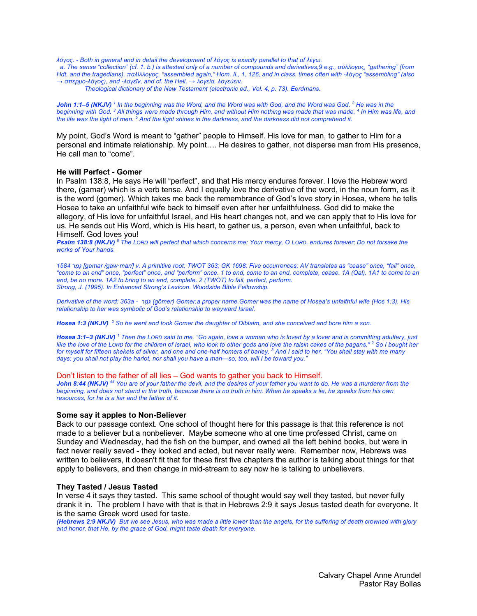*λόγος. - Both in general and in detail the development of λόγος is exactly parallel to that of λέγω.*

 *a. The sense "collection" (cf. 1. b.) is attested only of a number of compounds and derivatives,9 e.g., σύλλογος, "gathering" (from Hdt. and the tragedians), παλίλλογος, "assembled again," Hom. Il., 1, 126, and in class. times often with -λόγος "assembling" (also → σπερμο-λόγος), and -λογεῖν, and cf. the Hell. → λογεία, λογεύειν.*

*Theological dictionary of the New Testament (electronic ed., Vol. 4, p. 73). Eerdmans.*

*John 1:1–5 (NKJV) <sup>1</sup> In the beginning was the Word, and the Word was with God, and the Word was God. 2 He was in the beginning with God. 3 All things were made through Him, and without Him nothing was made that was made. 4 In Him was life, and the life was the light of men. 5 And the light shines in the darkness, and the darkness did not comprehend it.* 

My point, God's Word is meant to "gather" people to Himself. His love for man, to gather to Him for a personal and intimate relationship. My point…. He desires to gather, not disperse man from His presence, He call man to "come".

### **He will Perfect - Gomer**

In Psalm 138:8, He says He will "perfect", and that His mercy endures forever. I love the Hebrew word there, (gamar) which is a verb tense. And I equally love the derivative of the word, in the noun form, as it is the word (gomer). Which takes me back the remembrance of God's love story in Hosea, where he tells Hosea to take an unfaithful wife back to himself even after her unfaithfulness. God did to make the allegory, of His love for unfaithful Israel, and His heart changes not, and we can apply that to His love for us. He sends out His Word, which is His heart, to gather us, a person, even when unfaithful, back to Himself. God loves you!

*Psalm 138:8 (NKJV) <sup>8</sup> The LORD will perfect that which concerns me; Your mercy, O LORD, endures forever; Do not forsake the works of Your hands.* 

*ָ ַמר 1584 גּ] gamar /gaw·mar/] v. A primitive root; TWOT 363; GK 1698; Five occurrences; AV translates as "cease" once, "fail" once, "come to an end" once, "perfect" once, and "perform" once. 1 to end, come to an end, complete, cease. 1A (Qal). 1A1 to come to an end, be no more. 1A2 to bring to an end, complete. 2 (TWOT) to fail, perfect, perform. Strong, J. (1995). In Enhanced Strong's Lexicon. Woodside Bible Fellowship.*

*Derivative of the word: 363a - מרֶ ֹגּ) gōmer) Gomer,a proper name.Gomer was the name of Hosea's unfaithful wife (Hos 1:3). His relationship to her was symbolic of God's relationship to wayward Israel.*

*Hosea 1:3 (NKJV) <sup>3</sup> So he went and took Gomer the daughter of Diblaim, and she conceived and bore him a son.* 

*Hosea 3:1–3 (NKJV) <sup>1</sup> Then the LORD said to me, "Go again, love a woman who is loved by a lover and is committing adultery, just like the love of the LORD for the children of Israel, who look to other gods and love the raisin cakes of the pagans." 2 So I bought her for myself for fifteen shekels of silver, and one and one-half homers of barley. 3 And I said to her, "You shall stay with me many days; you shall not play the harlot, nor shall you have a man—so, too, will I be toward you."* 

#### Don't listen to the father of all lies – God wants to gather you back to Himself.

*John 8:44 (NKJV) <sup>44</sup> You are of your father the devil, and the desires of your father you want to do. He was a murderer from the*  beginning, and does not stand in the truth, because there is no truth in him. When he speaks a lie, he speaks from his own *resources, for he is a liar and the father of it.* 

#### **Some say it apples to Non-Believer**

Back to our passage context. One school of thought here for this passage is that this reference is not made to a believer but a nonbeliever. Maybe someone who at one time professed Christ, came on Sunday and Wednesday, had the fish on the bumper, and owned all the left behind books, but were in fact never really saved - they looked and acted, but never really were. Remember now, Hebrews was written to believers, it doesn't fit that for these first five chapters the author is talking about things for that apply to believers, and then change in mid-stream to say now he is talking to unbelievers.

#### **They Tasted / Jesus Tasted**

In verse 4 it says they tasted. This same school of thought would say well they tasted, but never fully drank it in. The problem I have with that is that in Hebrews 2:9 it says Jesus tasted death for everyone. It is the same Greek word used for taste.

*(Hebrews 2:9 NKJV) But we see Jesus, who was made a little lower than the angels, for the suffering of death crowned with glory and honor, that He, by the grace of God, might taste death for everyone.*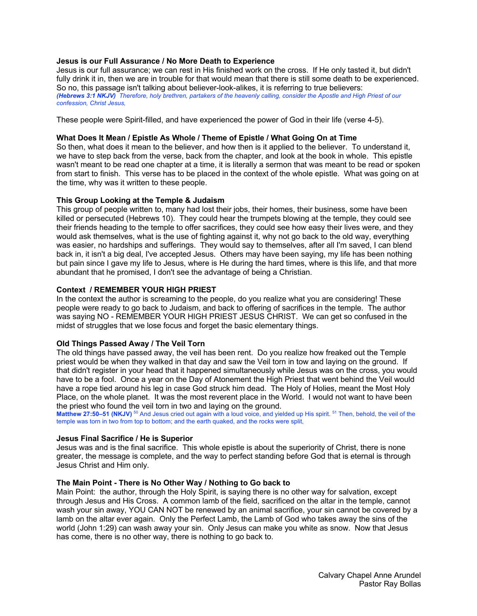### **Jesus is our Full Assurance / No More Death to Experience**

Jesus is our full assurance; we can rest in His finished work on the cross. If He only tasted it, but didn't fully drink it in, then we are in trouble for that would mean that there is still some death to be experienced. So no, this passage isn't talking about believer-look-alikes, it is referring to true believers: *(Hebrews 3:1 NKJV) Therefore, holy brethren, partakers of the heavenly calling, consider the Apostle and High Priest of our confession, Christ Jesus,*

These people were Spirit-filled, and have experienced the power of God in their life (verse 4-5).

#### **What Does It Mean / Epistle As Whole / Theme of Epistle / What Going On at Time**

So then, what does it mean to the believer, and how then is it applied to the believer. To understand it, we have to step back from the verse, back from the chapter, and look at the book in whole. This epistle wasn't meant to be read one chapter at a time, it is literally a sermon that was meant to be read or spoken from start to finish. This verse has to be placed in the context of the whole epistle. What was going on at the time, why was it written to these people.

#### **This Group Looking at the Temple & Judaism**

This group of people written to, many had lost their jobs, their homes, their business, some have been killed or persecuted (Hebrews 10). They could hear the trumpets blowing at the temple, they could see their friends heading to the temple to offer sacrifices, they could see how easy their lives were, and they would ask themselves, what is the use of fighting against it, why not go back to the old way, everything was easier, no hardships and sufferings. They would say to themselves, after all I'm saved, I can blend back in, it isn't a big deal, I've accepted Jesus. Others may have been saying, my life has been nothing but pain since I gave my life to Jesus, where is He during the hard times, where is this life, and that more abundant that he promised, I don't see the advantage of being a Christian.

#### **Context / REMEMBER YOUR HIGH PRIEST**

In the context the author is screaming to the people, do you realize what you are considering! These people were ready to go back to Judaism, and back to offering of sacrifices in the temple. The author was saying NO - REMEMBER YOUR HIGH PRIEST JESUS CHRIST. We can get so confused in the midst of struggles that we lose focus and forget the basic elementary things.

### **Old Things Passed Away / The Veil Torn**

The old things have passed away, the veil has been rent. Do you realize how freaked out the Temple priest would be when they walked in that day and saw the Veil torn in tow and laying on the ground. If that didn't register in your head that it happened simultaneously while Jesus was on the cross, you would have to be a fool. Once a year on the Day of Atonement the High Priest that went behind the Veil would have a rope tied around his leg in case God struck him dead. The Holy of Holies, meant the Most Holy Place, on the whole planet. It was the most reverent place in the World. I would not want to have been the priest who found the veil torn in two and laying on the ground.

Matthew 27:50-51 (NKJV)<sup>50</sup> And Jesus cried out again with a loud voice, and yielded up His spirit. <sup>51</sup> Then, behold, the veil of the temple was torn in two from top to bottom; and the earth quaked, and the rocks were split,

#### **Jesus Final Sacrifice / He is Superior**

Jesus was and is the final sacrifice. This whole epistle is about the superiority of Christ, there is none greater, the message is complete, and the way to perfect standing before God that is eternal is through Jesus Christ and Him only.

#### **The Main Point - There is No Other Way / Nothing to Go back to**

Main Point: the author, through the Holy Spirit, is saying there is no other way for salvation, except through Jesus and His Cross. A common lamb of the field, sacrificed on the altar in the temple, cannot wash your sin away, YOU CAN NOT be renewed by an animal sacrifice, your sin cannot be covered by a lamb on the altar ever again. Only the Perfect Lamb, the Lamb of God who takes away the sins of the world (John 1:29) can wash away your sin. Only Jesus can make you white as snow. Now that Jesus has come, there is no other way, there is nothing to go back to.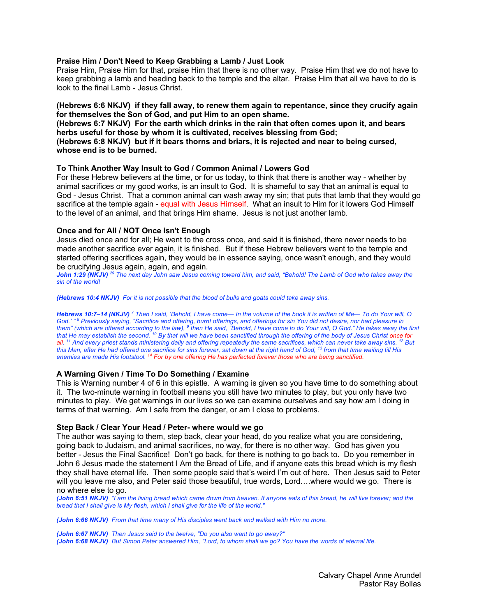#### **Praise Him / Don't Need to Keep Grabbing a Lamb / Just Look**

Praise Him, Praise Him for that, praise Him that there is no other way. Praise Him that we do not have to keep grabbing a lamb and heading back to the temple and the altar. Praise Him that all we have to do is look to the final Lamb - Jesus Christ.

**(Hebrews 6:6 NKJV) if they fall away, to renew them again to repentance, since they crucify again for themselves the Son of God, and put Him to an open shame.**

**(Hebrews 6:7 NKJV) For the earth which drinks in the rain that often comes upon it, and bears herbs useful for those by whom it is cultivated, receives blessing from God; (Hebrews 6:8 NKJV) but if it bears thorns and briars, it is rejected and near to being cursed, whose end is to be burned.**

#### **To Think Another Way Insult to God / Common Animal / Lowers God**

For these Hebrew believers at the time, or for us today, to think that there is another way - whether by animal sacrifices or my good works, is an insult to God. It is shameful to say that an animal is equal to God - Jesus Christ. That a common animal can wash away my sin; that puts that lamb that they would go sacrifice at the temple again - equal with Jesus Himself. What an insult to Him for it lowers God Himself to the level of an animal, and that brings Him shame. Jesus is not just another lamb.

#### **Once and for All / NOT Once isn't Enough**

Jesus died once and for all; He went to the cross once, and said it is finished, there never needs to be made another sacrifice ever again, it is finished. But if these Hebrew believers went to the temple and started offering sacrifices again, they would be in essence saying, once wasn't enough, and they would be crucifying Jesus again, again, and again.

*John 1:29 (NKJV) <sup>29</sup> The next day John saw Jesus coming toward him, and said, "Behold! The Lamb of God who takes away the sin of the world!* 

#### *(Hebrews 10:4 NKJV) For it is not possible that the blood of bulls and goats could take away sins.*

*Hebrews 10:7–14 (NKJV) <sup>7</sup> Then I said, 'Behold, I have come— In the volume of the book it is written of Me— To do Your will, O God.' " 8 Previously saying, "Sacrifice and offering, burnt offerings, and offerings for sin You did not desire, nor had pleasure in them" (which are offered according to the law), 9 then He said, "Behold, I have come to do Your will, O God." He takes away the first that He may establish the second. 10 By that will we have been sanctified through the offering of the body of Jesus Christ once for all. 11 And every priest stands ministering daily and offering repeatedly the same sacrifices, which can never take away sins. 12 But this Man, after He had offered one sacrifice for sins forever, sat down at the right hand of God, 13 from that time waiting till His enemies are made His footstool. 14 For by one offering He has perfected forever those who are being sanctified.* 

### **A Warning Given / Time To Do Something / Examine**

This is Warning number 4 of 6 in this epistle. A warning is given so you have time to do something about it. The two-minute warning in football means you still have two minutes to play, but you only have two minutes to play. We get warnings in our lives so we can examine ourselves and say how am I doing in terms of that warning. Am I safe from the danger, or am I close to problems.

#### **Step Back / Clear Your Head / Peter- where would we go**

The author was saying to them, step back, clear your head, do you realize what you are considering, going back to Judaism, and animal sacrifices, no way, for there is no other way. God has given you better - Jesus the Final Sacrifice! Don't go back, for there is nothing to go back to. Do you remember in John 6 Jesus made the statement I Am the Bread of Life, and if anyone eats this bread which is my flesh they shall have eternal life. Then some people said that's weird I'm out of here. Then Jesus said to Peter will you leave me also, and Peter said those beautiful, true words, Lord….where would we go. There is no where else to go.

*(John 6:51 NKJV) "I am the living bread which came down from heaven. If anyone eats of this bread, he will live forever; and the bread that I shall give is My flesh, which I shall give for the life of the world."*

*(John 6:66 NKJV) From that time many of His disciples went back and walked with Him no more.*

*(John 6:67 NKJV) Then Jesus said to the twelve, "Do you also want to go away?" (John 6:68 NKJV) But Simon Peter answered Him, "Lord, to whom shall we go? You have the words of eternal life.*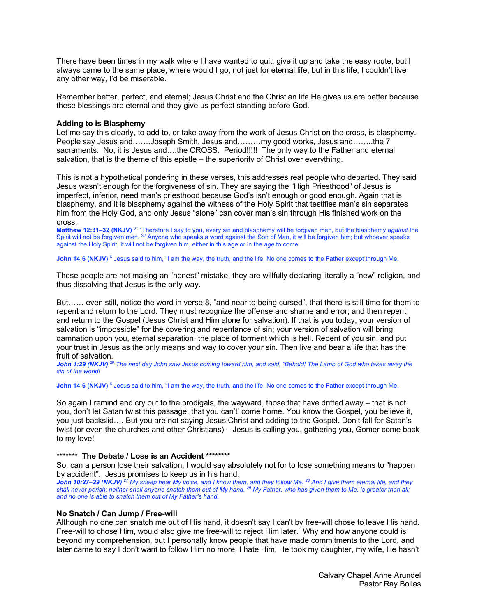There have been times in my walk where I have wanted to quit, give it up and take the easy route, but I always came to the same place, where would I go, not just for eternal life, but in this life, I couldn't live any other way, I'd be miserable.

Remember better, perfect, and eternal; Jesus Christ and the Christian life He gives us are better because these blessings are eternal and they give us perfect standing before God.

#### **Adding to is Blasphemy**

Let me say this clearly, to add to, or take away from the work of Jesus Christ on the cross, is blasphemy. People say Jesus and…….Joseph Smith, Jesus and………my good works, Jesus and……..the 7 sacraments. No, it is Jesus and....the CROSS. Period!!!!! The only way to the Father and eternal salvation, that is the theme of this epistle – the superiority of Christ over everything.

This is not a hypothetical pondering in these verses, this addresses real people who departed. They said Jesus wasn't enough for the forgiveness of sin. They are saying the "High Priesthood" of Jesus is imperfect, inferior, need man's priesthood because God's isn't enough or good enough. Again that is blasphemy, and it is blasphemy against the witness of the Holy Spirit that testifies man's sin separates him from the Holy God, and only Jesus "alone" can cover man's sin through His finished work on the cross.

**Matthew 12:31–32 (NKJV)** <sup>31</sup> "Therefore I say to you, every sin and blasphemy will be forgiven men, but the blasphemy *against* the Spirit will not be forgiven men. 32 Anyone who speaks a word against the Son of Man, it will be forgiven him; but whoever speaks against the Holy Spirit, it will not be forgiven him, either in this age or in the *age* to come.

**John 14:6 (NKJV)** <sup>6</sup> Jesus said to him, "I am the way, the truth, and the life. No one comes to the Father except through Me.

These people are not making an "honest" mistake, they are willfully declaring literally a "new" religion, and thus dissolving that Jesus is the only way.

But…… even still, notice the word in verse 8, "and near to being cursed", that there is still time for them to repent and return to the Lord. They must recognize the offense and shame and error, and then repent and return to the Gospel (Jesus Christ and Him alone for salvation). If that is you today, your version of salvation is "impossible" for the covering and repentance of sin; your version of salvation will bring damnation upon you, eternal separation, the place of torment which is hell. Repent of you sin, and put your trust in Jesus as the only means and way to cover your sin. Then live and bear a life that has the fruit of salvation.

*John 1:29 (NKJV) <sup>29</sup> The next day John saw Jesus coming toward him, and said, "Behold! The Lamb of God who takes away the sin of the world!* 

John 14:6 (NKJV)<sup>6</sup> Jesus said to him, "I am the way, the truth, and the life. No one comes to the Father except through Me.

So again I remind and cry out to the prodigals, the wayward, those that have drifted away – that is not you, don't let Satan twist this passage, that you can't' come home. You know the Gospel, you believe it, you just backslid…. But you are not saying Jesus Christ and adding to the Gospel. Don't fall for Satan's twist (or even the churches and other Christians) – Jesus is calling you, gathering you, Gomer come back to my love!

#### **\*\*\*\*\*\*\* The Debate / Lose is an Accident \*\*\*\*\*\*\*\***

So, can a person lose their salvation, I would say absolutely not for to lose something means to "happen by accident". Jesus promises to keep us in his hand:

*John 10:27–29 (NKJV) <sup>27</sup> My sheep hear My voice, and I know them, and they follow Me. 28 And I give them eternal life, and they shall never perish; neither shall anyone snatch them out of My hand. 29 My Father, who has given them to Me, is greater than all; and no one is able to snatch them out of My Father's hand.* 

#### **No Snatch / Can Jump / Free-will**

Although no one can snatch me out of His hand, it doesn't say I can't by free-will chose to leave His hand. Free-will to chose Him, would also give me free-will to reject Him later. Why and how anyone could is beyond my comprehension, but I personally know people that have made commitments to the Lord, and later came to say I don't want to follow Him no more, I hate Him, He took my daughter, my wife, He hasn't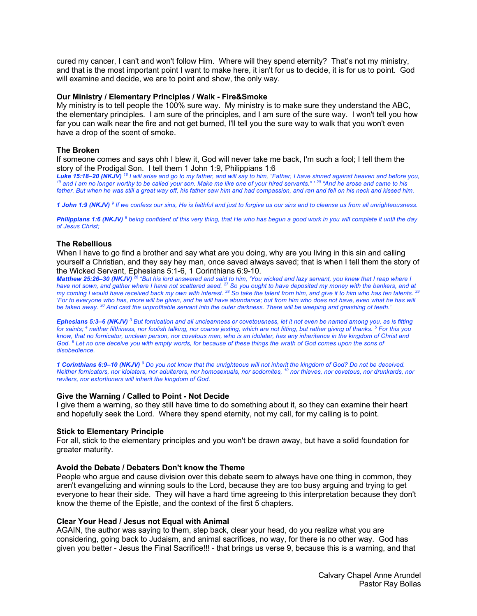cured my cancer, I can't and won't follow Him. Where will they spend eternity? That's not my ministry, and that is the most important point I want to make here, it isn't for us to decide, it is for us to point. God will examine and decide, we are to point and show, the only way.

#### **Our Ministry / Elementary Principles / Walk - Fire&Smoke**

My ministry is to tell people the 100% sure way. My ministry is to make sure they understand the ABC, the elementary principles. I am sure of the principles, and I am sure of the sure way. I won't tell you how far you can walk near the fire and not get burned, I'll tell you the sure way to walk that you won't even have a drop of the scent of smoke.

#### **The Broken**

If someone comes and says ohh I blew it, God will never take me back, I'm such a fool; I tell them the story of the Prodigal Son. I tell them 1 John 1:9, Philippians 1:6

Luke 15:18-20 (NKJV)<sup>18</sup> I will arise and go to my father, and will say to him, "Father, I have sinned against heaven and before you,<br><sup>19</sup> and I am no longer worthy to be called your son. Make me like one of your hired ser *father. But when he was still a great way off, his father saw him and had compassion, and ran and fell on his neck and kissed him.*

*1 John 1:9 (NKJV) <sup>9</sup> If we confess our sins, He is faithful and just to forgive us our sins and to cleanse us from all unrighteousness.* 

*Philippians 1:6 (NKJV) <sup>6</sup> being confident of this very thing, that He who has begun a good work in you will complete it until the day of Jesus Christ;* 

### **The Rebellious**

When I have to go find a brother and say what are you doing, why are you living in this sin and calling yourself a Christian, and they say hey man, once saved always saved; that is when I tell them the story of the Wicked Servant, Ephesians 5:1-6, 1 Corinthians 6:9-10.

*Matthew 25:26–30 (NKJV) <sup>26</sup> "But his lord answered and said to him, 'You wicked and lazy servant, you knew that I reap where I have not sown, and gather where I have not scattered seed. 27 So you ought to have deposited my money with the bankers, and at my coming I would have received back my own with interest. 28 So take the talent from him, and give it to him who has ten talents. 29 'For to everyone who has, more will be given, and he will have abundance; but from him who does not have, even what he has will be taken away. 30 And cast the unprofitable servant into the outer darkness. There will be weeping and gnashing of teeth.'* 

*Ephesians 5:3–6 (NKJV) <sup>3</sup> But fornication and all uncleanness or covetousness, let it not even be named among you, as is fitting for saints; 4 neither filthiness, nor foolish talking, nor coarse jesting, which are not fitting, but rather giving of thanks. 5 For this you know, that no fornicator, unclean person, nor covetous man, who is an idolater, has any inheritance in the kingdom of Christ and God. 6 Let no one deceive you with empty words, for because of these things the wrath of God comes upon the sons of disobedience.* 

*1 Corinthians 6:9–10 (NKJV) <sup>9</sup> Do you not know that the unrighteous will not inherit the kingdom of God? Do not be deceived. Neither fornicators, nor idolaters, nor adulterers, nor homosexuals, nor sodomites, 10 nor thieves, nor covetous, nor drunkards, nor revilers, nor extortioners will inherit the kingdom of God.* 

#### **Give the Warning / Called to Point - Not Decide**

I give them a warning, so they still have time to do something about it, so they can examine their heart and hopefully seek the Lord. Where they spend eternity, not my call, for my calling is to point.

#### **Stick to Elementary Principle**

For all, stick to the elementary principles and you won't be drawn away, but have a solid foundation for greater maturity.

#### **Avoid the Debate / Debaters Don't know the Theme**

People who argue and cause division over this debate seem to always have one thing in common, they aren't evangelizing and winning souls to the Lord, because they are too busy arguing and trying to get everyone to hear their side. They will have a hard time agreeing to this interpretation because they don't know the theme of the Epistle, and the context of the first 5 chapters.

#### **Clear Your Head / Jesus not Equal with Animal**

AGAIN, the author was saying to them, step back, clear your head, do you realize what you are considering, going back to Judaism, and animal sacrifices, no way, for there is no other way. God has given you better - Jesus the Final Sacrifice!!! - that brings us verse 9, because this is a warning, and that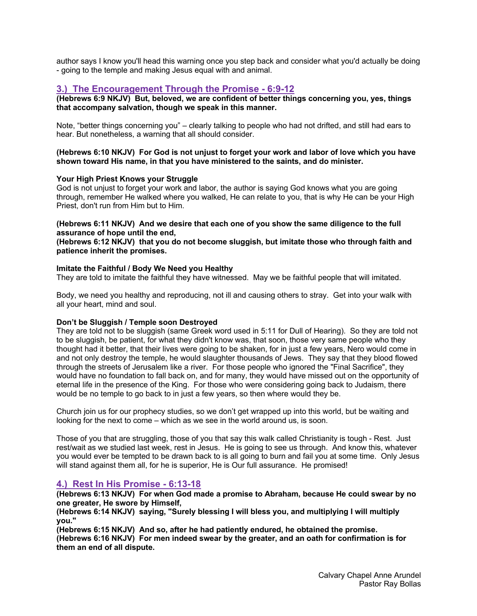author says I know you'll head this warning once you step back and consider what you'd actually be doing - going to the temple and making Jesus equal with and animal.

# **3.) The Encouragement Through the Promise - 6:9-12**

**(Hebrews 6:9 NKJV) But, beloved, we are confident of better things concerning you, yes, things that accompany salvation, though we speak in this manner.**

Note, "better things concerning you" – clearly talking to people who had not drifted, and still had ears to hear. But nonetheless, a warning that all should consider.

**(Hebrews 6:10 NKJV) For God is not unjust to forget your work and labor of love which you have shown toward His name, in that you have ministered to the saints, and do minister.**

### **Your High Priest Knows your Struggle**

God is not unjust to forget your work and labor, the author is saying God knows what you are going through, remember He walked where you walked, He can relate to you, that is why He can be your High Priest, don't run from Him but to Him.

### **(Hebrews 6:11 NKJV) And we desire that each one of you show the same diligence to the full assurance of hope until the end,**

**(Hebrews 6:12 NKJV) that you do not become sluggish, but imitate those who through faith and patience inherit the promises.**

### **Imitate the Faithful / Body We Need you Healthy**

They are told to imitate the faithful they have witnessed. May we be faithful people that will imitated.

Body, we need you healthy and reproducing, not ill and causing others to stray. Get into your walk with all your heart, mind and soul.

### **Don't be Sluggish / Temple soon Destroyed**

They are told not to be sluggish (same Greek word used in 5:11 for Dull of Hearing). So they are told not to be sluggish, be patient, for what they didn't know was, that soon, those very same people who they thought had it better, that their lives were going to be shaken, for in just a few years, Nero would come in and not only destroy the temple, he would slaughter thousands of Jews. They say that they blood flowed through the streets of Jerusalem like a river. For those people who ignored the "Final Sacrifice", they would have no foundation to fall back on, and for many, they would have missed out on the opportunity of eternal life in the presence of the King. For those who were considering going back to Judaism, there would be no temple to go back to in just a few years, so then where would they be.

Church join us for our prophecy studies, so we don't get wrapped up into this world, but be waiting and looking for the next to come – which as we see in the world around us, is soon.

Those of you that are struggling, those of you that say this walk called Christianity is tough - Rest. Just rest/wait as we studied last week, rest in Jesus. He is going to see us through. And know this, whatever you would ever be tempted to be drawn back to is all going to burn and fail you at some time. Only Jesus will stand against them all, for he is superior, He is Our full assurance. He promised!

# **4.) Rest In His Promise - 6:13-18**

**(Hebrews 6:13 NKJV) For when God made a promise to Abraham, because He could swear by no one greater, He swore by Himself,**

**(Hebrews 6:14 NKJV) saying, "Surely blessing I will bless you, and multiplying I will multiply you."**

**(Hebrews 6:15 NKJV) And so, after he had patiently endured, he obtained the promise. (Hebrews 6:16 NKJV) For men indeed swear by the greater, and an oath for confirmation is for them an end of all dispute.**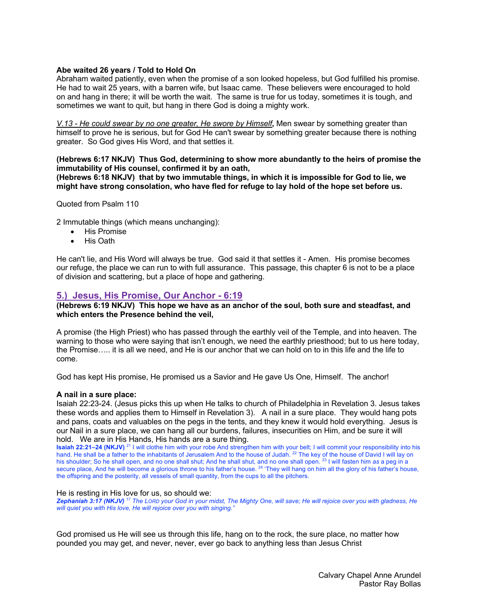### **Abe waited 26 years / Told to Hold On**

Abraham waited patiently, even when the promise of a son looked hopeless, but God fulfilled his promise. He had to wait 25 years, with a barren wife, but Isaac came. These believers were encouraged to hold on and hang in there; it will be worth the wait. The same is true for us today, sometimes it is tough, and sometimes we want to quit, but hang in there God is doing a mighty work.

*V.13 - He could swear by no one greater, He swore by Himself***,** Men swear by something greater than himself to prove he is serious, but for God He can't swear by something greater because there is nothing greater. So God gives His Word, and that settles it.

### **(Hebrews 6:17 NKJV) Thus God, determining to show more abundantly to the heirs of promise the immutability of His counsel, confirmed it by an oath,**

**(Hebrews 6:18 NKJV) that by two immutable things, in which it is impossible for God to lie, we might have strong consolation, who have fled for refuge to lay hold of the hope set before us.**

Quoted from Psalm 110

2 Immutable things (which means unchanging):

- His Promise
- His Oath

He can't lie, and His Word will always be true. God said it that settles it - Amen. His promise becomes our refuge, the place we can run to with full assurance. This passage, this chapter 6 is not to be a place of division and scattering, but a place of hope and gathering.

# **5.) Jesus, His Promise, Our Anchor - 6:19**

### **(Hebrews 6:19 NKJV) This hope we have as an anchor of the soul, both sure and steadfast, and which enters the Presence behind the veil,**

A promise (the High Priest) who has passed through the earthly veil of the Temple, and into heaven. The warning to those who were saying that isn't enough, we need the earthly priesthood; but to us here today, the Promise….. it is all we need, and He is our anchor that we can hold on to in this life and the life to come.

God has kept His promise, He promised us a Savior and He gave Us One, Himself. The anchor!

### **A nail in a sure place:**

Isaiah 22:23-24. (Jesus picks this up when He talks to church of Philadelphia in Revelation 3. Jesus takes these words and applies them to Himself in Revelation 3). A nail in a sure place. They would hang pots and pans, coats and valuables on the pegs in the tents, and they knew it would hold everything. Jesus is our Nail in a sure place, we can hang all our burdens, failures, insecurities on Him, and be sure it will hold. We are in His Hands, His hands are a sure thing.

**Isaiah 22:21–24 (NKJV)** <sup>21</sup> I will clothe him with your robe And strengthen him with your belt; I will commit your responsibility into his hand. He shall be a father to the inhabitants of Jerusalem And to the house of Judah. <sup>22</sup> The key of the house of David I will lay on his shoulder; So he shall open, and no one shall shut; And he shall shut, and no one shall open. 23 I will fasten him *as* a peg in a secure place, And he will become a glorious throne to his father's house. <sup>24</sup> 'They will hang on him all the glory of his father's house, the offspring and the posterity, all vessels of small quantity, from the cups to all the pitchers.

#### He is resting in His love for us, so should we:

*Zephaniah 3:17 (NKJV) <sup>17</sup> The LORD your God in your midst, The Mighty One, will save; He will rejoice over you with gladness, He will quiet you with His love, He will rejoice over you with singing."* 

God promised us He will see us through this life, hang on to the rock, the sure place, no matter how pounded you may get, and never, never, ever go back to anything less than Jesus Christ